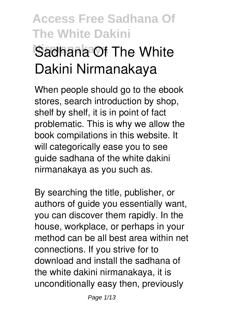# **Access Free Sadhana Of The White Dakini Sadhana Of The White Dakini Nirmanakaya**

When people should go to the ebook stores, search introduction by shop, shelf by shelf, it is in point of fact problematic. This is why we allow the book compilations in this website. It will categorically ease you to see guide **sadhana of the white dakini nirmanakaya** as you such as.

By searching the title, publisher, or authors of guide you essentially want, you can discover them rapidly. In the house, workplace, or perhaps in your method can be all best area within net connections. If you strive for to download and install the sadhana of the white dakini nirmanakaya, it is unconditionally easy then, previously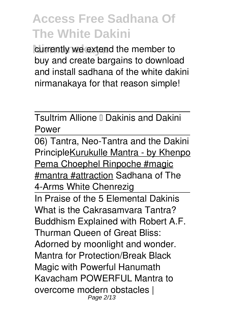currently we extend the member to buy and create bargains to download and install sadhana of the white dakini nirmanakaya for that reason simple!

Tsultrim Allione **LDakinis and Dakini** Power

06) Tantra, Neo-Tantra and the Dakini PrincipleKurukulle Mantra - by Khenpo Pema Choephel Rinpoche #magic #mantra #attraction *Sadhana of The 4-Arms White Chenrezig* In Praise of the 5 Elemental Dakinis What is the Cakrasamvara Tantra? Buddhism Explained with Robert A.F. Thurman *Queen of Great Bliss: Adorned by moonlight and wonder. Mantra for Protection/Break Black Magic with Powerful Hanumath Kavacham POWERFUL Mantra to overcome modern obstacles |* Page 2/13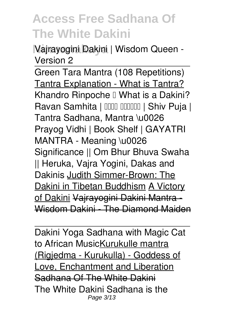**Nirmanakaya** *Vajrayogini Dakini | Wisdom Queen - Version 2*

Green Tara Mantra (108 Repetitions) Tantra Explanation - What is Tantra? *Khandro Rinpoche – What is a Dakini? Ravan Samhita | रावण संहिता | Shiv Puja | Tantra Sadhana, Mantra \u0026 Prayog Vidhi | Book Shelf | GAYATRI MANTRA - Meaning \u0026 Significance || Om Bhur Bhuva Swaha || Heruka, Vajra Yogini, Dakas and Dakinis* Judith Simmer-Brown: The Dakini in Tibetan Buddhism A Victory of Dakini Vajrayogini Dakini Mantra - Wisdom Dakini - The Diamond Maiden

Dakini Yoga Sadhana with Magic Cat to African MusicKurukulle mantra (Rigjedma - Kurukulla) - Goddess of Love, Enchantment and Liberation Sadhana Of The White Dakini The White Dakini Sadhana is the Page 3/13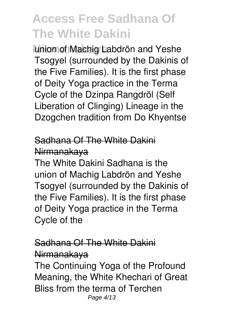**Nirmanakaya** union of Machig Labdrön and Yeshe Tsogyel (surrounded by the Dakinis of the Five Families). It is the first phase of Deity Yoga practice in the Terma Cycle of the Dzinpa Rangdröl (Self Liberation of Clinging) Lineage in the Dzogchen tradition from Do Khyentse

### Sadhana Of The White Dakini Nirmanakaya

The White Dakini Sadhana is the union of Machig Labdrön and Yeshe Tsogyel (surrounded by the Dakinis of the Five Families). It is the first phase of Deity Yoga practice in the Terma Cycle of the

#### Sadhana Of The White Dakini Nirmanakaya

The Continuing Yoga of the Profound Meaning, the White Khechari of Great Bliss from the terma of Terchen Page 4/13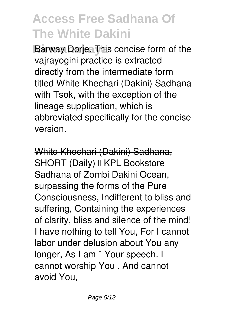**Barway Dorje. This concise form of the** vajrayogini practice is extracted directly from the intermediate form titled White Khechari (Dakini) Sadhana with Tsok, with the exception of the lineage supplication, which is abbreviated specifically for the concise version.

White Khechari (Dakini) Sadhana, SHORT (Daily) I KPL Bookstore Sadhana of Zombi Dakini Ocean, surpassing the forms of the Pure Consciousness, Indifferent to bliss and suffering, Containing the experiences of clarity, bliss and silence of the mind! I have nothing to tell You, For I cannot labor under delusion about You any longer, As I am II Your speech. I cannot worship You . And cannot avoid You,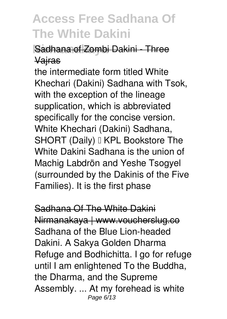### **Nirmanakaya** Sadhana of Zombi Dakini - Three Vajras

the intermediate form titled White Khechari (Dakini) Sadhana with Tsok, with the exception of the lineage supplication, which is abbreviated specifically for the concise version. White Khechari (Dakini) Sadhana, SHORT (Daily) I KPL Bookstore The White Dakini Sadhana is the union of Machig Labdrön and Yeshe Tsogyel (surrounded by the Dakinis of the Five Families). It is the first phase

Sadhana Of The White Dakini Nirmanakaya | www.voucherslug.co Sadhana of the Blue Lion-headed Dakini. A Sakya Golden Dharma Refuge and Bodhichitta. I go for refuge until I am enlightened To the Buddha, the Dharma, and the Supreme Assembly. ... At my forehead is white Page 6/13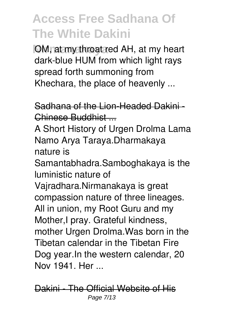**OM, at my throat red AH, at my heart** dark-blue HUM from which light rays spread forth summoning from Khechara, the place of heavenly ...

#### Sadhana of the Lion-Headed Dakini - Chinese Buddhist ...

A Short History of Urgen Drolma Lama Namo Arya Taraya.Dharmakaya nature is

Samantabhadra.Samboghakaya is the luministic nature of

Vajradhara.Nirmanakaya is great compassion nature of three lineages. All in union, my Root Guru and my Mother,I pray. Grateful kindness, mother Urgen Drolma.Was born in the Tibetan calendar in the Tibetan Fire Dog year.In the western calendar, 20 Nov 1941. Her ...

Dakini - The Official Website of His Page 7/13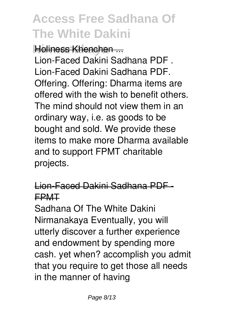### **Holiness Khenchen**

Lion-Faced Dakini Sadhana PDF . Lion-Faced Dakini Sadhana PDF. Offering. Offering: Dharma items are offered with the wish to benefit others. The mind should not view them in an ordinary way, i.e. as goods to be bought and sold. We provide these items to make more Dharma available and to support FPMT charitable projects.

### Lion-Faced Dakini Sadhana PDF - FPMT

Sadhana Of The White Dakini Nirmanakaya Eventually, you will utterly discover a further experience and endowment by spending more cash. yet when? accomplish you admit that you require to get those all needs in the manner of having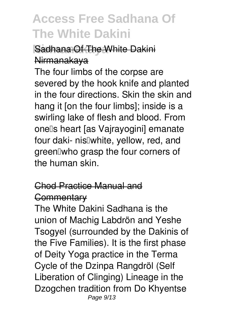### **Nadhana Of The White Dakini** Nirmanakaya

The four limbs of the corpse are severed by the hook knife and planted in the four directions. Skin the skin and hang it [on the four limbs]; inside is a swirling lake of flesh and blood. From onells heart [as Vajrayogini] emanate four daki- nis<sup>[]</sup>white, yellow, red, and green who grasp the four corners of the human skin.

#### Chod Practice Manual and **Commentary**

The White Dakini Sadhana is the union of Machig Labdrön and Yeshe Tsogyel (surrounded by the Dakinis of the Five Families). It is the first phase of Deity Yoga practice in the Terma Cycle of the Dzinpa Rangdröl (Self Liberation of Clinging) Lineage in the Dzogchen tradition from Do Khyentse Page 9/13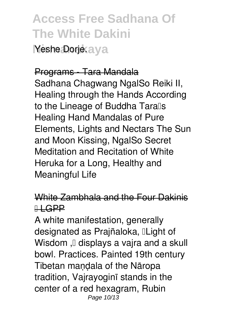**Access Free Sadhana Of The White Dakini Yeshe Dorje: ava** 

#### Programs - Tara Mandala

Sadhana Chagwang NgalSo Reiki II, Healing through the Hands According to the Lineage of Buddha Taralls Healing Hand Mandalas of Pure Elements, Lights and Nectars The Sun and Moon Kissing, NgalSo Secret Meditation and Recitation of White Heruka for a Long, Healthy and Meaningful Life

#### White Zambhala and the Four Dakinis  $H$ **GPP**

A white manifestation, generally designated as Prajñaloka, ILight of Wisdom , $\Box$  displays a vajra and a skull bowl. Practices. Painted 19th century Tibetan maṇḍala of the Nāropa tradition, Vajrayoginī stands in the center of a red hexagram, Rubin Page 10/13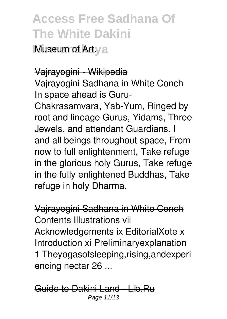**Museum of Art.va** 

#### Vajrayogini - Wikipedia

Vajrayogini Sadhana in White Conch In space ahead is Guru-Chakrasamvara, Yab-Yum, Ringed by root and lineage Gurus, Yidams, Three Jewels, and attendant Guardians. I and all beings throughout space, From now to full enlightenment, Take refuge in the glorious holy Gurus, Take refuge in the fully enlightened Buddhas, Take refuge in holy Dharma,

Vajrayogini Sadhana in White Conch Contents Illustrations vii Acknowledgements ix EditorialXote x Introduction xi Preliminaryexplanation 1 Theyogasofsleeping,rising,andexperi encing nectar 26 ...

Guide to Dakini Land - Lib.Ru Page 11/13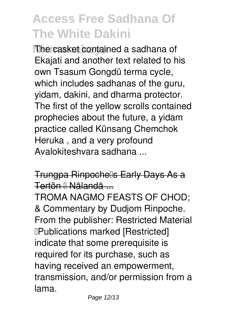**The casket contained a sadhana of** Ekajati and another text related to his own Tsasum Gongdü terma cycle, which includes sadhanas of the guru, yidam, dakini, and dharma protector. The first of the yellow scrolls contained prophecies about the future, a yidam practice called Künsang Chemchok Heruka , and a very profound Avalokiteshvara sadhana ...

#### Trungpa Rinpochells Early Days As a Tertön – Nālandā ...

TROMA NAGMO FEASTS OF CHOD; & Commentary by Dudjom Rinpoche. From the publisher: Restricted Material **IPublications marked [Restricted]** indicate that some prerequisite is required for its purchase, such as having received an empowerment, transmission, and/or permission from a lama.